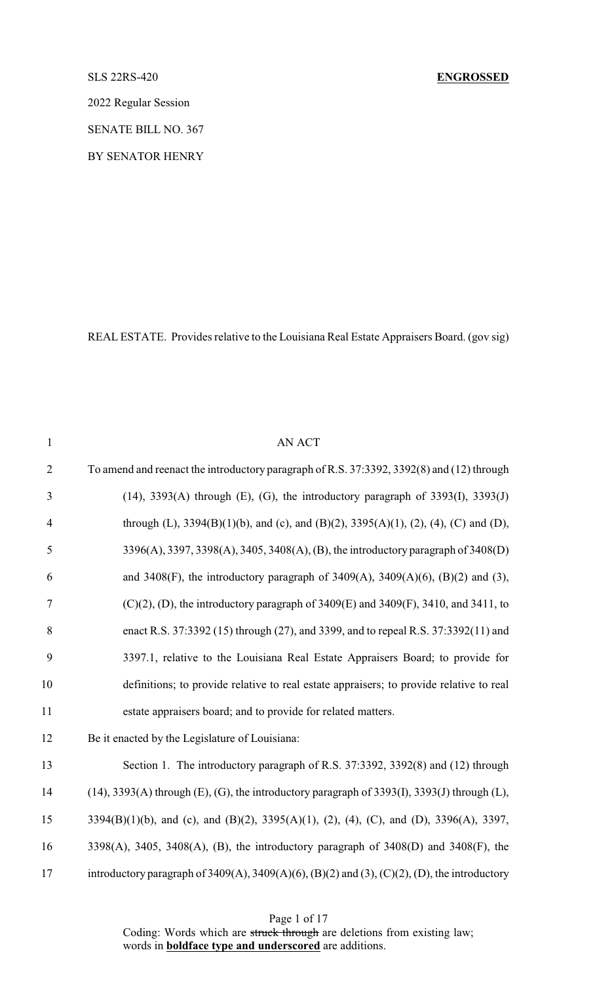### SLS 22RS-420 **ENGROSSED**

2022 Regular Session

SENATE BILL NO. 367

BY SENATOR HENRY

REAL ESTATE. Provides relative to the Louisiana Real Estate Appraisers Board. (gov sig)

| $\mathbf{1}$   | <b>AN ACT</b>                                                                                  |
|----------------|------------------------------------------------------------------------------------------------|
| $\overline{2}$ | To amend and reenact the introductory paragraph of R.S. 37:3392, 3392(8) and (12) through      |
| 3              | $(14)$ , 3393(A) through (E), (G), the introductory paragraph of 3393(I), 3393(J)              |
| $\overline{4}$ | through (L), 3394(B)(1)(b), and (c), and (B)(2), 3395(A)(1), (2), (4), (C) and (D),            |
| 5              | 3396(A), 3397, 3398(A), 3405, 3408(A), (B), the introductory paragraph of 3408(D)              |
| 6              | and 3408(F), the introductory paragraph of 3409(A), 3409(A)(6), (B)(2) and (3),                |
| $\tau$         | $(C)(2)$ , (D), the introductory paragraph of 3409(E) and 3409(F), 3410, and 3411, to          |
| 8              | enact R.S. 37:3392 (15) through (27), and 3399, and to repeal R.S. 37:3392(11) and             |
| 9              | 3397.1, relative to the Louisiana Real Estate Appraisers Board; to provide for                 |
| 10             | definitions; to provide relative to real estate appraisers; to provide relative to real        |
| 11             | estate appraisers board; and to provide for related matters.                                   |
| 12             | Be it enacted by the Legislature of Louisiana:                                                 |
| 13             | Section 1. The introductory paragraph of R.S. 37:3392, 3392(8) and (12) through                |
| 14             | $(14)$ , 3393(A) through (E), (G), the introductory paragraph of 3393(I), 3393(J) through (L), |
| 15             | 3394(B)(1)(b), and (c), and (B)(2), 3395(A)(1), (2), (4), (C), and (D), 3396(A), 3397,         |
| 16             | 3398(A), 3405, 3408(A), (B), the introductory paragraph of 3408(D) and 3408(F), the            |
| 17             | introductory paragraph of 3409(A), 3409(A)(6), (B)(2) and (3), (C)(2), (D), the introductory   |

Page 1 of 17

Coding: Words which are struck through are deletions from existing law; words in **boldface type and underscored** are additions.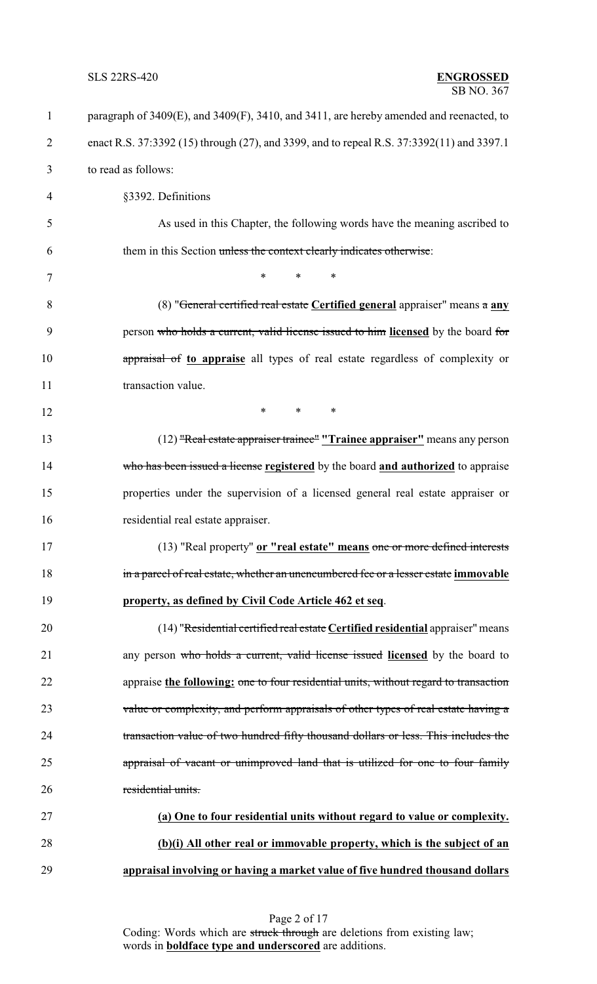| $\mathbf{1}$   | paragraph of 3409(E), and 3409(F), 3410, and 3411, are hereby amended and reenacted, to   |
|----------------|-------------------------------------------------------------------------------------------|
| $\overline{2}$ | enact R.S. 37:3392 (15) through (27), and 3399, and to repeal R.S. 37:3392(11) and 3397.1 |
| 3              | to read as follows:                                                                       |
| 4              | §3392. Definitions                                                                        |
| 5              | As used in this Chapter, the following words have the meaning ascribed to                 |
| 6              | them in this Section unless the context clearly indicates otherwise:                      |
| 7              | $\ast$<br>$\ast$<br>$\ast$                                                                |
| 8              | (8) "General certified real estate Certified general appraiser" means a any               |
| 9              | person who holds a current, valid license issued to him licensed by the board for         |
| 10             | appraisal of to appraise all types of real estate regardless of complexity or             |
| 11             | transaction value.                                                                        |
| 12             | $\ast$<br>*<br>∗                                                                          |
| 13             | (12) "Real estate appraiser trainee" "Trainee appraiser" means any person                 |
| 14             | who has been issued a license registered by the board and authorized to appraise          |
| 15             | properties under the supervision of a licensed general real estate appraiser or           |
| 16             | residential real estate appraiser.                                                        |
| 17             | (13) "Real property" or "real estate" means one or more defined interests                 |
| 18             | in a parcel of real estate, whether an unencumbered fee or a lesser estate immovable      |
| 19             | property, as defined by Civil Code Article 462 et seq.                                    |
| 20             | (14) "Residential certified real estate Certified residential appraiser" means            |
| 21             | any person who holds a current, valid license issued licensed by the board to             |
| 22             | appraise the following: one to four residential units, without regard to transaction      |
| 23             | value or complexity, and perform appraisals of other types of real estate having a        |
| 24             | transaction value of two hundred fifty thousand dollars or less. This includes the        |
| 25             | appraisal of vacant or unimproved land that is utilized for one to four family            |
| 26             | residential units.                                                                        |
| 27             | (a) One to four residential units without regard to value or complexity.                  |
| 28             | (b)(i) All other real or immovable property, which is the subject of an                   |
| 29             | appraisal involving or having a market value of five hundred thousand dollars             |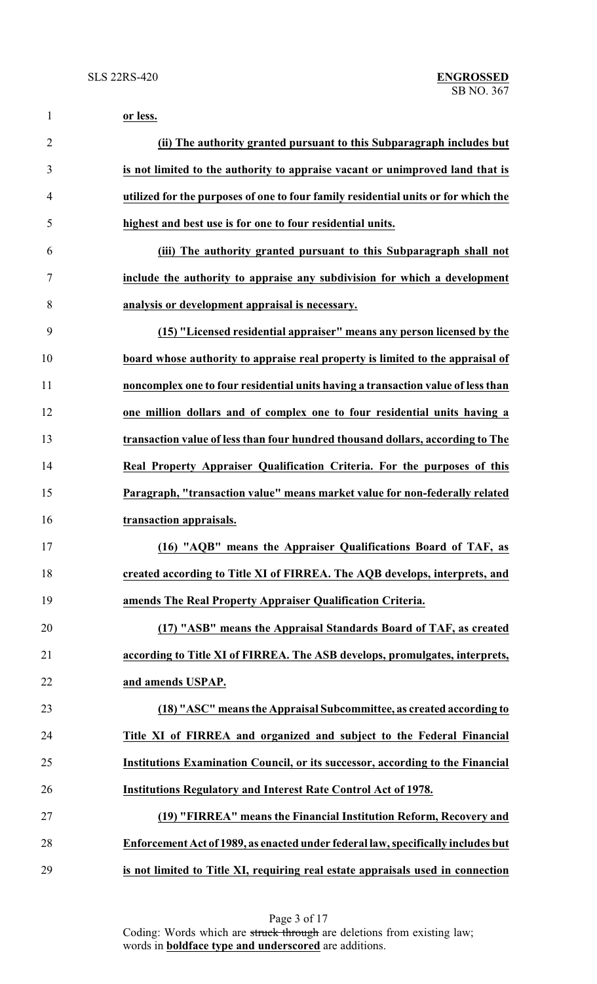| $\mathbf{1}$   | or less.                                                                           |
|----------------|------------------------------------------------------------------------------------|
| $\overline{2}$ | (ii) The authority granted pursuant to this Subparagraph includes but              |
| 3              | is not limited to the authority to appraise vacant or unimproved land that is      |
| $\overline{4}$ | utilized for the purposes of one to four family residential units or for which the |
| 5              | highest and best use is for one to four residential units.                         |
| 6              | (iii) The authority granted pursuant to this Subparagraph shall not                |
| $\tau$         | include the authority to appraise any subdivision for which a development          |
| 8              | analysis or development appraisal is necessary.                                    |
| 9              | (15) "Licensed residential appraiser" means any person licensed by the             |
| 10             | board whose authority to appraise real property is limited to the appraisal of     |
| 11             | noncomplex one to four residential units having a transaction value of less than   |
| 12             | one million dollars and of complex one to four residential units having a          |
| 13             | transaction value of less than four hundred thousand dollars, according to The     |
| 14             | Real Property Appraiser Qualification Criteria. For the purposes of this           |
| 15             | Paragraph, "transaction value" means market value for non-federally related        |
| 16             | transaction appraisals.                                                            |
| 17             | (16) "AQB" means the Appraiser Qualifications Board of TAF, as                     |
| 18             | created according to Title XI of FIRREA. The AQB develops, interprets, and         |
| 19             | amends The Real Property Appraiser Qualification Criteria.                         |
| 20             | (17) "ASB" means the Appraisal Standards Board of TAF, as created                  |
| 21             | according to Title XI of FIRREA. The ASB develops, promulgates, interprets,        |
| 22             | and amends USPAP.                                                                  |
| 23             | (18) "ASC" means the Appraisal Subcommittee, as created according to               |
| 24             | Title XI of FIRREA and organized and subject to the Federal Financial              |
| 25             | Institutions Examination Council, or its successor, according to the Financial     |
| 26             | <b>Institutions Regulatory and Interest Rate Control Act of 1978.</b>              |
| 27             | (19) "FIRREA" means the Financial Institution Reform, Recovery and                 |
| 28             | Enforcement Act of 1989, as enacted under federal law, specifically includes but   |
| 29             | is not limited to Title XI, requiring real estate appraisals used in connection    |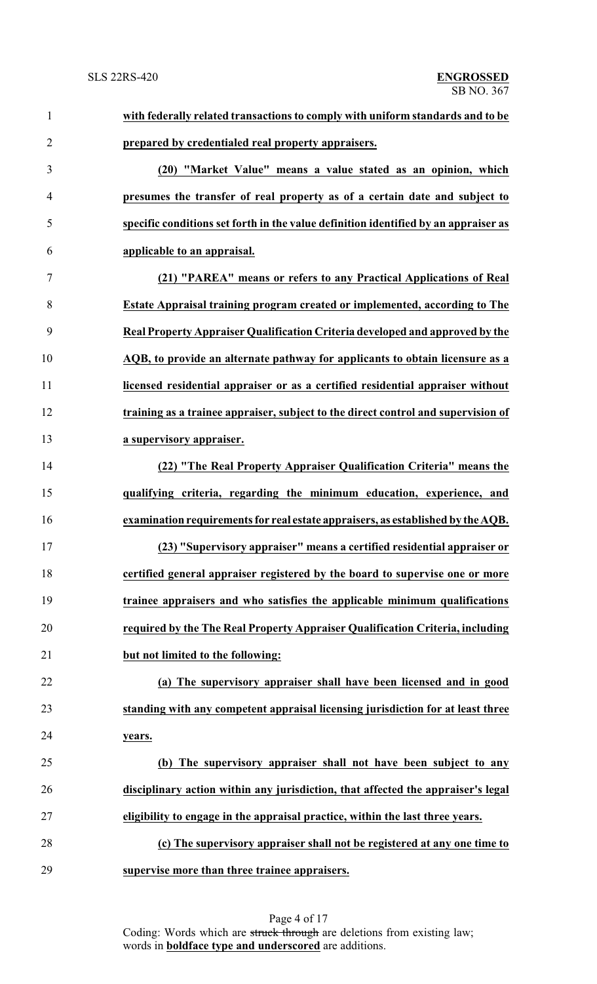| $\mathbf{1}$   | with federally related transactions to comply with uniform standards and to be      |
|----------------|-------------------------------------------------------------------------------------|
| $\overline{2}$ | prepared by credentialed real property appraisers.                                  |
| 3              | (20) "Market Value" means a value stated as an opinion, which                       |
| $\overline{4}$ | presumes the transfer of real property as of a certain date and subject to          |
| 5              | specific conditions set forth in the value definition identified by an appraiser as |
| 6              | applicable to an appraisal.                                                         |
| $\overline{7}$ | (21) "PAREA" means or refers to any Practical Applications of Real                  |
| 8              | <b>Estate Appraisal training program created or implemented, according to The</b>   |
| 9              | Real Property Appraiser Qualification Criteria developed and approved by the        |
| 10             | AQB, to provide an alternate pathway for applicants to obtain licensure as a        |
| 11             | licensed residential appraiser or as a certified residential appraiser without      |
| 12             | training as a trainee appraiser, subject to the direct control and supervision of   |
| 13             | a supervisory appraiser.                                                            |
| 14             | (22) "The Real Property Appraiser Qualification Criteria" means the                 |
| 15             | qualifying criteria, regarding the minimum education, experience, and               |
| 16             | examination requirements for real estate appraisers, as established by the AQB.     |
| 17             | (23) "Supervisory appraiser" means a certified residential appraiser or             |
| 18             | certified general appraiser registered by the board to supervise one or more        |
| 19             | trainee appraisers and who satisfies the applicable minimum qualifications          |
| 20             | required by the The Real Property Appraiser Qualification Criteria, including       |
| 21             | but not limited to the following:                                                   |
| 22             | (a) The supervisory appraiser shall have been licensed and in good                  |
| 23             | standing with any competent appraisal licensing jurisdiction for at least three     |
| 24             | years.                                                                              |
| 25             | (b) The supervisory appraiser shall not have been subject to any                    |
| 26             | disciplinary action within any jurisdiction, that affected the appraiser's legal    |
| 27             | eligibility to engage in the appraisal practice, within the last three years.       |
| 28             | (c) The supervisory appraiser shall not be registered at any one time to            |
| 29             | supervise more than three trainee appraisers.                                       |

Page 4 of 17 Coding: Words which are struck through are deletions from existing law; words in **boldface type and underscored** are additions.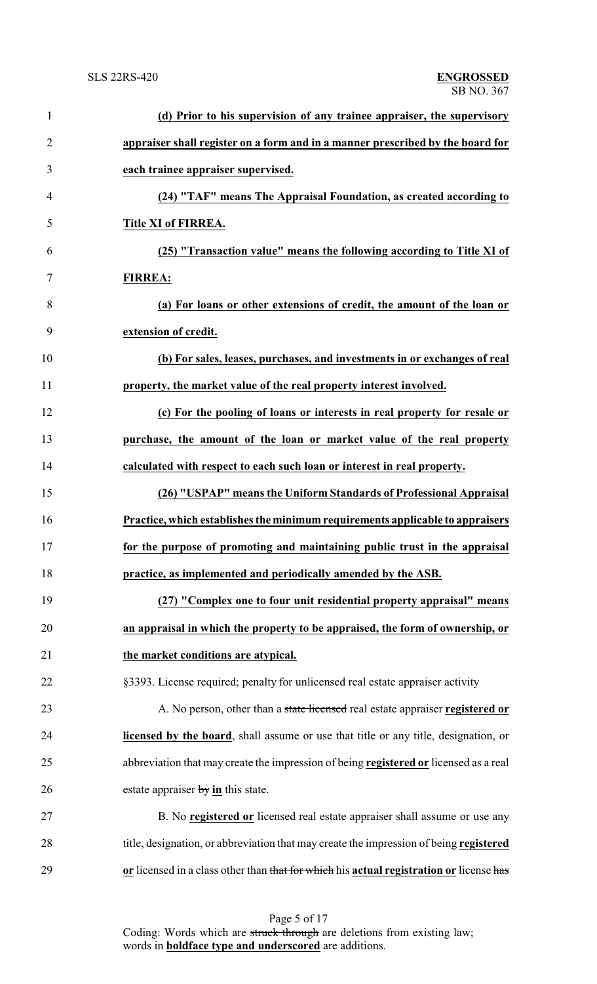| $\mathbf{1}$   | (d) Prior to his supervision of any trainee appraiser, the supervisory                      |
|----------------|---------------------------------------------------------------------------------------------|
| $\overline{2}$ | appraiser shall register on a form and in a manner prescribed by the board for              |
| 3              | each trainee appraiser supervised.                                                          |
| $\overline{4}$ | (24) "TAF" means The Appraisal Foundation, as created according to                          |
| 5              | Title XI of FIRREA.                                                                         |
| 6              | (25) "Transaction value" means the following according to Title XI of                       |
| 7              | <b>FIRREA:</b>                                                                              |
| 8              | (a) For loans or other extensions of credit, the amount of the loan or                      |
| 9              | extension of credit.                                                                        |
| 10             | (b) For sales, leases, purchases, and investments in or exchanges of real                   |
| 11             | property, the market value of the real property interest involved.                          |
| 12             | (c) For the pooling of loans or interests in real property for resale or                    |
| 13             | purchase, the amount of the loan or market value of the real property                       |
| 14             | calculated with respect to each such loan or interest in real property.                     |
| 15             | (26) "USPAP" means the Uniform Standards of Professional Appraisal                          |
| 16             | Practice, which establishes the minimum requirements applicable to appraisers               |
| 17             | for the purpose of promoting and maintaining public trust in the appraisal                  |
| 18             | practice, as implemented and periodically amended by the ASB.                               |
| 19             | (27) "Complex one to four unit residential property appraisal" means                        |
| 20             | an appraisal in which the property to be appraised, the form of ownership, or               |
| 21             | the market conditions are atypical.                                                         |
| 22             | §3393. License required; penalty for unlicensed real estate appraiser activity              |
| 23             | A. No person, other than a state licensed real estate appraiser registered or               |
| 24             | <b>licensed by the board</b> , shall assume or use that title or any title, designation, or |
| 25             | abbreviation that may create the impression of being registered or licensed as a real       |
| 26             | estate appraiser $by$ in this state.                                                        |
| 27             | B. No registered or licensed real estate appraiser shall assume or use any                  |
| 28             | title, designation, or abbreviation that may create the impression of being registered      |
| 29             | or licensed in a class other than that for which his actual registration or license has     |

Page 5 of 17 Coding: Words which are struck through are deletions from existing law; words in **boldface type and underscored** are additions.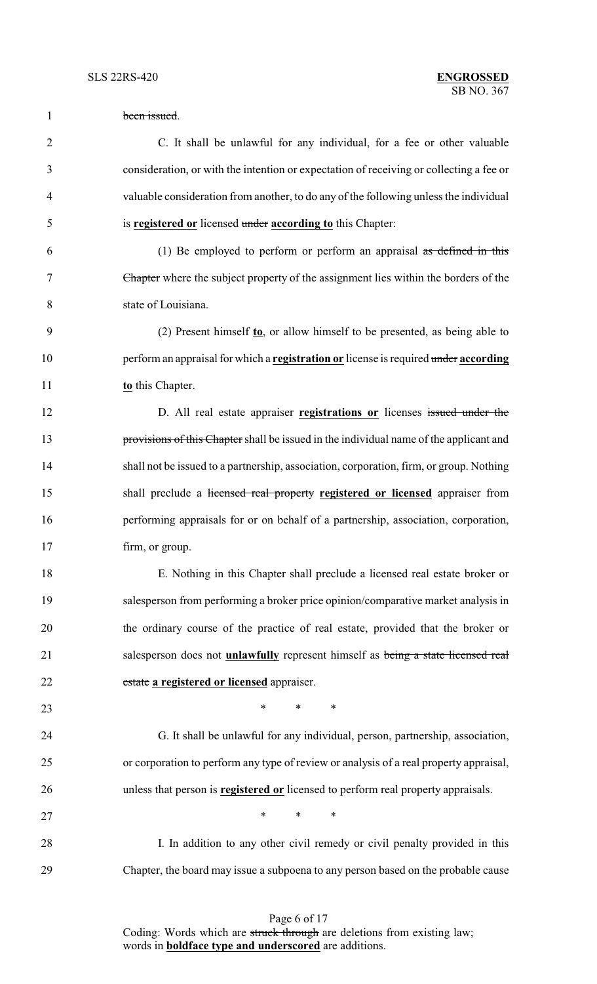| $\mathbf{1}$   | been issued.                                                                             |
|----------------|------------------------------------------------------------------------------------------|
| $\overline{2}$ | C. It shall be unlawful for any individual, for a fee or other valuable                  |
| 3              | consideration, or with the intention or expectation of receiving or collecting a fee or  |
| 4              | valuable consideration from another, to do any of the following unless the individual    |
| 5              | is registered or licensed under according to this Chapter:                               |
| 6              | (1) Be employed to perform or perform an appraisal $\alpha s$ defined in this            |
| 7              | Chapter where the subject property of the assignment lies within the borders of the      |
| 8              | state of Louisiana.                                                                      |
| 9              | (2) Present himself $\mathbf{t}$ o, or allow himself to be presented, as being able to   |
| 10             | perform an appraisal for which a registration or license is required under according     |
| 11             | to this Chapter.                                                                         |
| 12             | D. All real estate appraiser registrations or licenses issued under the                  |
| 13             | provisions of this Chapter shall be issued in the individual name of the applicant and   |
| 14             | shall not be issued to a partnership, association, corporation, firm, or group. Nothing  |
| 15             | shall preclude a licensed real property registered or licensed appraiser from            |
| 16             | performing appraisals for or on behalf of a partnership, association, corporation,       |
| 17             | firm, or group.                                                                          |
| 18             | E. Nothing in this Chapter shall preclude a licensed real estate broker or               |
| 19             | salesperson from performing a broker price opinion/comparative market analysis in        |
| 20             | the ordinary course of the practice of real estate, provided that the broker or          |
| 21             | salesperson does not <b>unlawfully</b> represent himself as being a state licensed real  |
| 22             | estate a registered or licensed appraiser.                                               |
| 23             | $\ast$<br>$\ast$<br>∗                                                                    |
| 24             | G. It shall be unlawful for any individual, person, partnership, association,            |
| 25             | or corporation to perform any type of review or analysis of a real property appraisal,   |
| 26             | unless that person is <b>registered or</b> licensed to perform real property appraisals. |
| 27             | *<br>$\ast$<br>∗                                                                         |
| 28             | I. In addition to any other civil remedy or civil penalty provided in this               |
| 29             | Chapter, the board may issue a subpoena to any person based on the probable cause        |
|                |                                                                                          |

Page 6 of 17 Coding: Words which are struck through are deletions from existing law; words in **boldface type and underscored** are additions.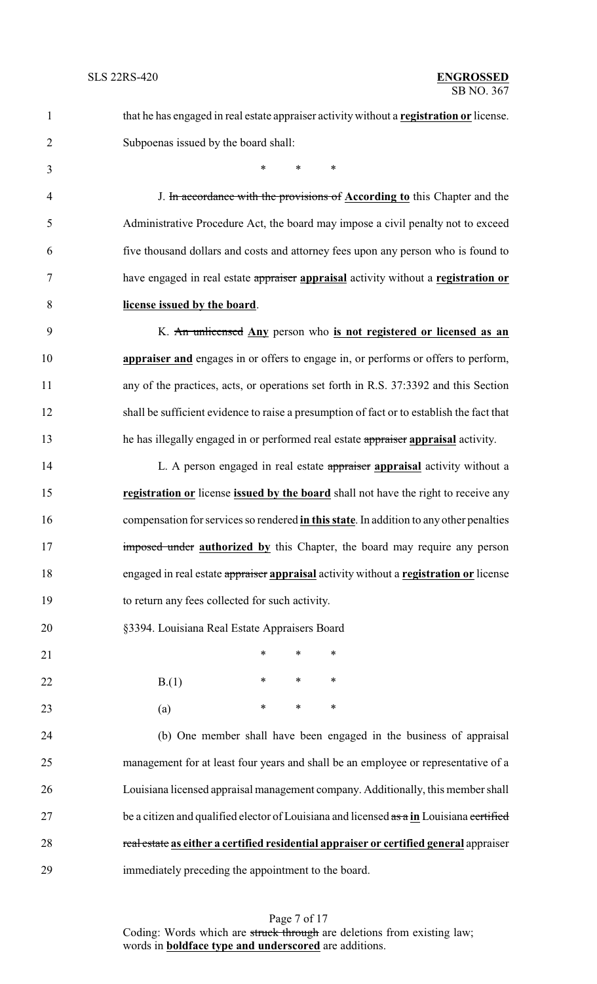| $\mathbf{1}$   | that he has engaged in real estate appraiser activity without a registration or license.  |
|----------------|-------------------------------------------------------------------------------------------|
| $\overline{2}$ | Subpoenas issued by the board shall:                                                      |
| 3              | $\ast$<br>$\ast$<br>$\ast$                                                                |
| $\overline{4}$ | J. In accordance with the provisions of <b>According to</b> this Chapter and the          |
| 5              | Administrative Procedure Act, the board may impose a civil penalty not to exceed          |
| 6              | five thousand dollars and costs and attorney fees upon any person who is found to         |
| 7              | have engaged in real estate appraiser appraisal activity without a registration or        |
| 8              | license issued by the board.                                                              |
| 9              | K. An unlicensed Any person who is not registered or licensed as an                       |
| 10             | appraiser and engages in or offers to engage in, or performs or offers to perform,        |
| 11             | any of the practices, acts, or operations set forth in R.S. 37:3392 and this Section      |
| 12             | shall be sufficient evidence to raise a presumption of fact or to establish the fact that |
| 13             | he has illegally engaged in or performed real estate appraiser appraisal activity.        |
| 14             | L. A person engaged in real estate appraiser appraisal activity without a                 |
| 15             | registration or license issued by the board shall not have the right to receive any       |
| 16             | compensation for services so rendered in this state. In addition to any other penalties   |
| 17             | imposed under authorized by this Chapter, the board may require any person                |
| 18             | engaged in real estate appraiser appraisal activity without a registration or license     |
| 19             | to return any fees collected for such activity.                                           |
| 20             | §3394. Louisiana Real Estate Appraisers Board                                             |
| 21             | ∗<br>∗<br>∗                                                                               |
| 22             | $\ast$<br>$\ast$<br>∗<br>B(1)                                                             |
| 23             | $\ast$<br>$\ast$<br>$\ast$<br>(a)                                                         |
| 24             | (b) One member shall have been engaged in the business of appraisal                       |
| 25             | management for at least four years and shall be an employee or representative of a        |
| 26             | Louisiana licensed appraisal management company. Additionally, this member shall          |
| 27             | be a citizen and qualified elector of Louisiana and licensed as a in Louisiana certified  |
| 28             | real estate as either a certified residential appraiser or certified general appraiser    |
|                |                                                                                           |

immediately preceding the appointment to the board.

Page 7 of 17 Coding: Words which are struck through are deletions from existing law; words in **boldface type and underscored** are additions.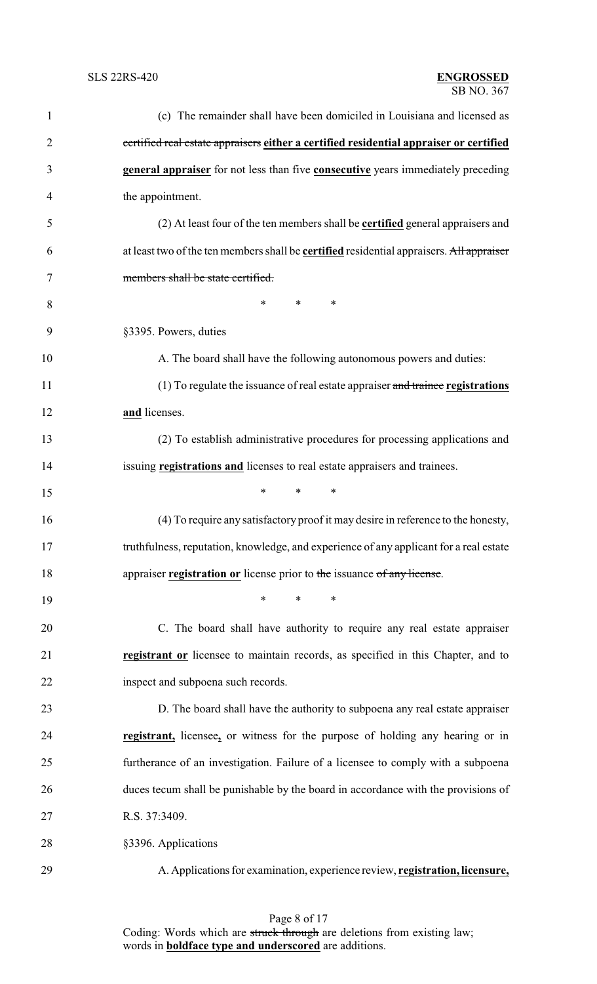| $\mathbf{1}$   | (c) The remainder shall have been domiciled in Louisiana and licensed as                        |
|----------------|-------------------------------------------------------------------------------------------------|
| $\overline{2}$ | certified real estate appraisers either a certified residential appraiser or certified          |
| 3              | general appraiser for not less than five consecutive years immediately preceding                |
| 4              | the appointment.                                                                                |
| 5              | (2) At least four of the ten members shall be <b>certified</b> general appraisers and           |
| 6              | at least two of the ten members shall be <b>certified</b> residential appraisers. All appraiser |
| 7              | members shall be state certified.                                                               |
| 8              | $\ast$<br>*<br>∗                                                                                |
| 9              | §3395. Powers, duties                                                                           |
| 10             | A. The board shall have the following autonomous powers and duties:                             |
| 11             | (1) To regulate the issuance of real estate appraiser and trainee registrations                 |
| 12             | and licenses.                                                                                   |
| 13             | (2) To establish administrative procedures for processing applications and                      |
| 14             | issuing registrations and licenses to real estate appraisers and trainees.                      |
| 15             | *<br>$\ast$<br>∗                                                                                |
| 16             | (4) To require any satisfactory proof it may desire in reference to the honesty,                |
| 17             | truthfulness, reputation, knowledge, and experience of any applicant for a real estate          |
| 18             | appraiser registration or license prior to the issuance of any license.                         |
| 19             | $\ast$<br>*<br>∗                                                                                |
| 20             | C. The board shall have authority to require any real estate appraiser                          |
| 21             | registrant or licensee to maintain records, as specified in this Chapter, and to                |
| 22             | inspect and subpoena such records.                                                              |
| 23             | D. The board shall have the authority to subpoena any real estate appraiser                     |
| 24             | registrant, licensee, or witness for the purpose of holding any hearing or in                   |
| 25             | furtherance of an investigation. Failure of a licensee to comply with a subpoena                |
| 26             | duces tecum shall be punishable by the board in accordance with the provisions of               |
| 27             | R.S. 37:3409.                                                                                   |
| 28             | §3396. Applications                                                                             |
| 29             | A. Applications for examination, experience review, registration, licensure,                    |

Page 8 of 17 Coding: Words which are struck through are deletions from existing law; words in **boldface type and underscored** are additions.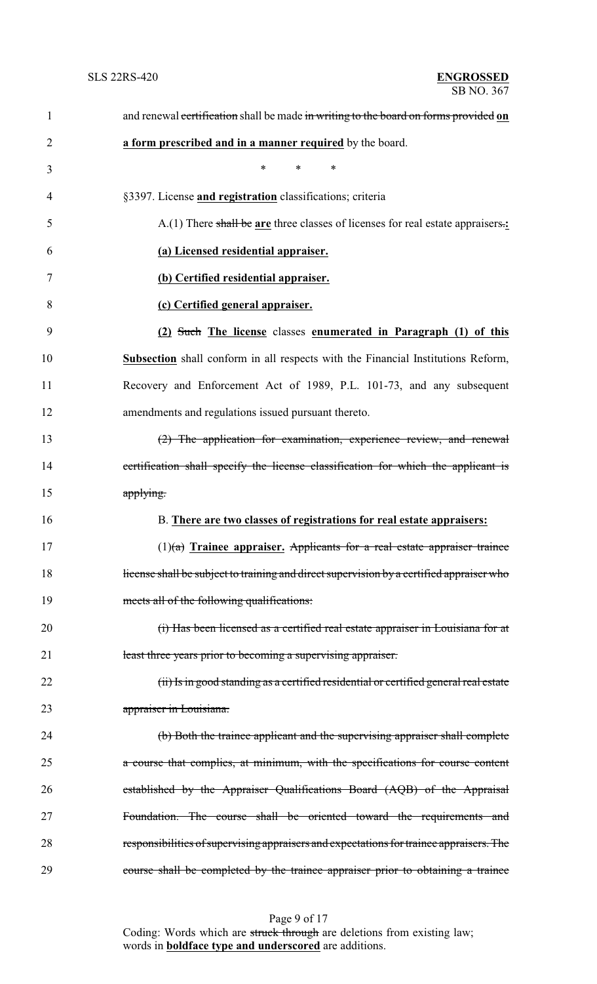| $\mathbf{1}$   | and renewal certification shall be made in writing to the board on forms provided on     |
|----------------|------------------------------------------------------------------------------------------|
| $\overline{2}$ | a form prescribed and in a manner required by the board.                                 |
| 3              | *<br>*<br>∗                                                                              |
| $\overline{4}$ | §3397. License and registration classifications; criteria                                |
| 5              | A.(1) There shall be are three classes of licenses for real estate appraisers.:          |
| 6              | (a) Licensed residential appraiser.                                                      |
| 7              | (b) Certified residential appraiser.                                                     |
| 8              | (c) Certified general appraiser.                                                         |
| 9              | (2) Such The license classes enumerated in Paragraph (1) of this                         |
| 10             | <b>Subsection</b> shall conform in all respects with the Financial Institutions Reform,  |
| 11             | Recovery and Enforcement Act of 1989, P.L. 101-73, and any subsequent                    |
| 12             | amendments and regulations issued pursuant thereto.                                      |
| 13             | (2) The application for examination, experience review, and renewal                      |
| 14             | certification shall specify the license classification for which the applicant is        |
| 15             | applying.                                                                                |
| 16             | B. There are two classes of registrations for real estate appraisers:                    |
| 17             | $(1)(a)$ Trainee appraiser. Applicants for a real estate appraiser trainee               |
| 18             | license shall be subject to training and direct supervision by a certified appraiser who |
| 19             | meets all of the following qualifications:                                               |
| 20             | (i) Has been licensed as a certified real estate appraiser in Louisiana for at           |
| 21             | least three years prior to becoming a supervising appraiser.                             |
| 22             | (ii) Is in good standing as a certified residential or certified general real estate     |
| 23             | appraiser in Louisiana.                                                                  |
| 24             | (b) Both the trainee applicant and the supervising appraiser shall complete              |
| 25             | a course that complies, at minimum, with the specifications for course content           |
| 26             | established by the Appraiser Qualifications Board (AQB) of the Appraisal                 |
| 27             | Foundation. The course shall be oriented toward the requirements and                     |
| 28             | responsibilities of supervising appraisers and expectations for trainee appraisers. The  |
| 29             | course shall be completed by the trainee appraiser prior to obtaining a trainee          |

Page 9 of 17 Coding: Words which are struck through are deletions from existing law; words in **boldface type and underscored** are additions.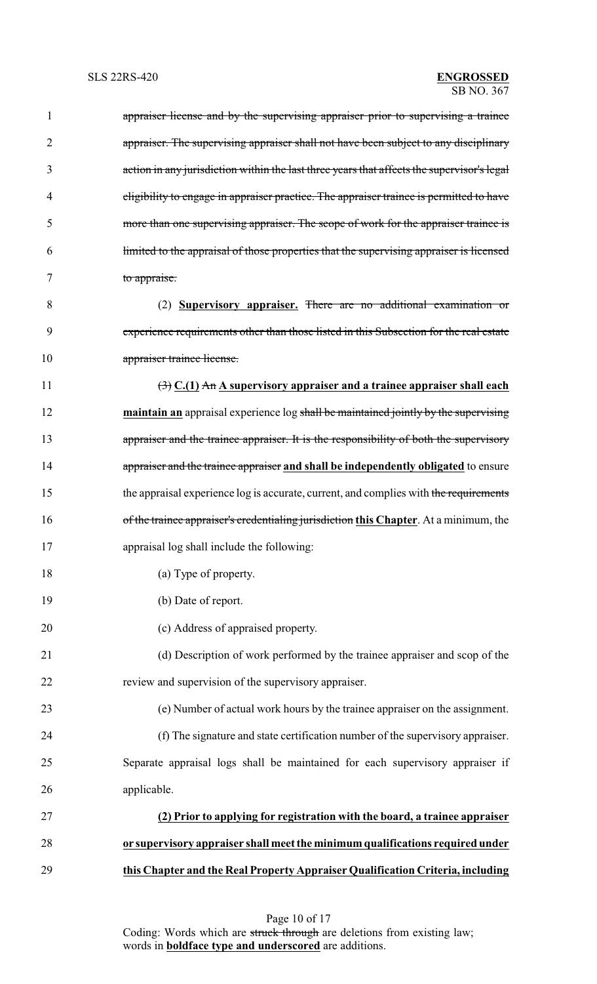| 1              | appraiser license and by the supervising appraiser prior to supervising a trainee              |
|----------------|------------------------------------------------------------------------------------------------|
| $\overline{2}$ | appraiser. The supervising appraiser shall not have been subject to any disciplinary           |
| 3              | action in any jurisdiction within the last three years that affects the supervisor's legal     |
| 4              | eligibility to engage in appraiser practice. The appraiser trainee is permitted to have        |
| 5              | more than one supervising appraiser. The scope of work for the appraiser trainee is            |
| 6              | limited to the appraisal of those properties that the supervising appraiser is licensed        |
| 7              | to appraise.                                                                                   |
| 8              | (2) Supervisory appraiser. There are no additional examination or                              |
| 9              | experience requirements other than those listed in this Subsection for the real estate         |
| 10             | appraiser trainee license.                                                                     |
| 11             | $\left(\frac{1}{2}\right)$ C.(1) An A supervisory appraiser and a trainee appraiser shall each |
| 12             | maintain an appraisal experience log shall be maintained jointly by the supervising            |
| 13             | appraiser and the trainee appraiser. It is the responsibility of both the supervisory          |
| 14             | appraiser and the trainee appraiser and shall be independently obligated to ensure             |
| 15             | the appraisal experience log is accurate, current, and complies with the requirements          |
| 16             | of the trainee appraiser's credentialing jurisdiction this Chapter. At a minimum, the          |
| 17             | appraisal log shall include the following:                                                     |
| 18             | (a) Type of property.                                                                          |
| 19             | (b) Date of report.                                                                            |
| 20             | (c) Address of appraised property.                                                             |
| 21             | (d) Description of work performed by the trainee appraiser and scop of the                     |
| 22             | review and supervision of the supervisory appraiser.                                           |
| 23             | (e) Number of actual work hours by the trainee appraiser on the assignment.                    |
| 24             | (f) The signature and state certification number of the supervisory appraiser.                 |
| 25             | Separate appraisal logs shall be maintained for each supervisory appraiser if                  |
| 26             | applicable.                                                                                    |
| 27             | (2) Prior to applying for registration with the board, a trainee appraiser                     |
| 28             | or supervisory appraiser shall meet the minimum qualifications required under                  |
| 29             | this Chapter and the Real Property Appraiser Qualification Criteria, including                 |
|                |                                                                                                |

Page 10 of 17 Coding: Words which are struck through are deletions from existing law; words in **boldface type and underscored** are additions.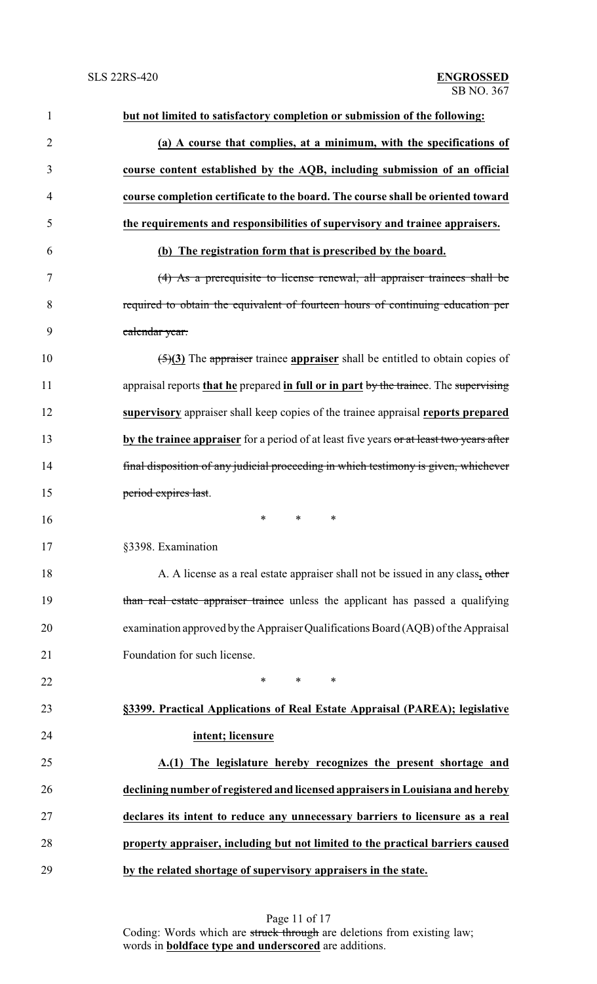| $\mathbf{1}$   | but not limited to satisfactory completion or submission of the following:                       |
|----------------|--------------------------------------------------------------------------------------------------|
| $\overline{2}$ | (a) A course that complies, at a minimum, with the specifications of                             |
| 3              | course content established by the AQB, including submission of an official                       |
| 4              | course completion certificate to the board. The course shall be oriented toward                  |
| 5              | the requirements and responsibilities of supervisory and trainee appraisers.                     |
| 6              | (b) The registration form that is prescribed by the board.                                       |
| 7              | (4) As a prerequisite to license renewal, all appraiser trainees shall be                        |
| 8              | required to obtain the equivalent of fourteen hours of continuing education per                  |
| 9              | calendar year.                                                                                   |
| 10             | $\left(\frac{5}{3}\right)$ The appraiser trainee appraiser shall be entitled to obtain copies of |
| 11             | appraisal reports that he prepared in full or in part by the trainee. The supervising            |
| 12             | supervisory appraiser shall keep copies of the trainee appraisal reports prepared                |
| 13             | by the trainee appraiser for a period of at least five years or at least two years after         |
| 14             | final disposition of any judicial proceeding in which testimony is given, whichever              |
| 15             | period expires last.                                                                             |
| 16             | $\ast$<br>*<br>∗                                                                                 |
| 17             | §3398. Examination                                                                               |
| 18             | A. A license as a real estate appraiser shall not be issued in any class, other                  |
| 19             | than real estate appraiser trainee unless the applicant has passed a qualifying                  |
| 20             | examination approved by the Appraiser Qualifications Board (AQB) of the Appraisal                |
| 21             | Foundation for such license.                                                                     |
| 22             | $\ast$<br>$\ast$<br>∗                                                                            |
| 23             | §3399. Practical Applications of Real Estate Appraisal (PAREA); legislative                      |
| 24             | intent; licensure                                                                                |
| 25             | A.(1) The legislature hereby recognizes the present shortage and                                 |
| 26             | declining number of registered and licensed appraisers in Louisiana and hereby                   |
| 27             | declares its intent to reduce any unnecessary barriers to licensure as a real                    |
| 28             | property appraiser, including but not limited to the practical barriers caused                   |
| 29             | by the related shortage of supervisory appraisers in the state.                                  |
|                |                                                                                                  |

Page 11 of 17 Coding: Words which are struck through are deletions from existing law; words in **boldface type and underscored** are additions.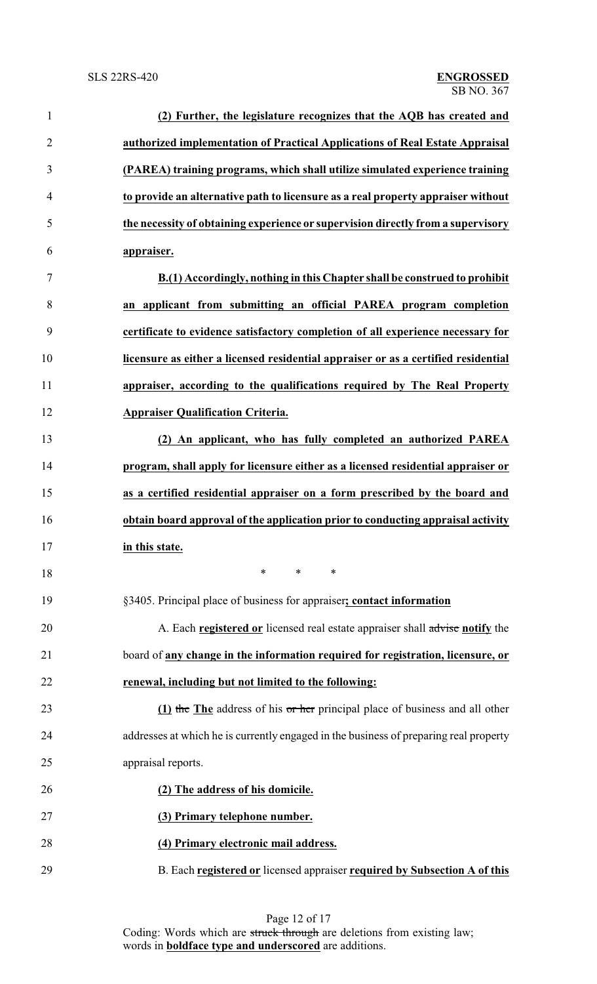| $\mathbf{1}$   | (2) Further, the legislature recognizes that the AQB has created and                  |
|----------------|---------------------------------------------------------------------------------------|
| $\overline{2}$ | authorized implementation of Practical Applications of Real Estate Appraisal          |
| 3              | (PAREA) training programs, which shall utilize simulated experience training          |
| $\overline{4}$ | to provide an alternative path to licensure as a real property appraiser without      |
| 5              | the necessity of obtaining experience or supervision directly from a supervisory      |
| 6              | appraiser.                                                                            |
| 7              | B.(1) Accordingly, nothing in this Chapter shall be construed to prohibit             |
| 8              | an applicant from submitting an official PAREA program completion                     |
| 9              | certificate to evidence satisfactory completion of all experience necessary for       |
| 10             | licensure as either a licensed residential appraiser or as a certified residential    |
| 11             | appraiser, according to the qualifications required by The Real Property              |
| 12             | <b>Appraiser Qualification Criteria.</b>                                              |
| 13             | (2) An applicant, who has fully completed an authorized PAREA                         |
| 14             | program, shall apply for licensure either as a licensed residential appraiser or      |
| 15             | as a certified residential appraiser on a form prescribed by the board and            |
| 16             | obtain board approval of the application prior to conducting appraisal activity       |
| 17             | in this state.                                                                        |
| 18             | ∗<br>$\ast$<br>∗                                                                      |
| 19             | §3405. Principal place of business for appraiser; contact information                 |
| 20             | A. Each registered or licensed real estate appraiser shall advise notify the          |
| 21             | board of any change in the information required for registration, licensure, or       |
| 22             | renewal, including but not limited to the following:                                  |
| 23             | (1) the The address of his or her principal place of business and all other           |
| 24             | addresses at which he is currently engaged in the business of preparing real property |
| 25             | appraisal reports.                                                                    |
| 26             | (2) The address of his domicile.                                                      |
| 27             | (3) Primary telephone number.                                                         |
| 28             | (4) Primary electronic mail address.                                                  |
| 29             | B. Each registered or licensed appraiser required by Subsection A of this             |

Page 12 of 17 Coding: Words which are struck through are deletions from existing law; words in **boldface type and underscored** are additions.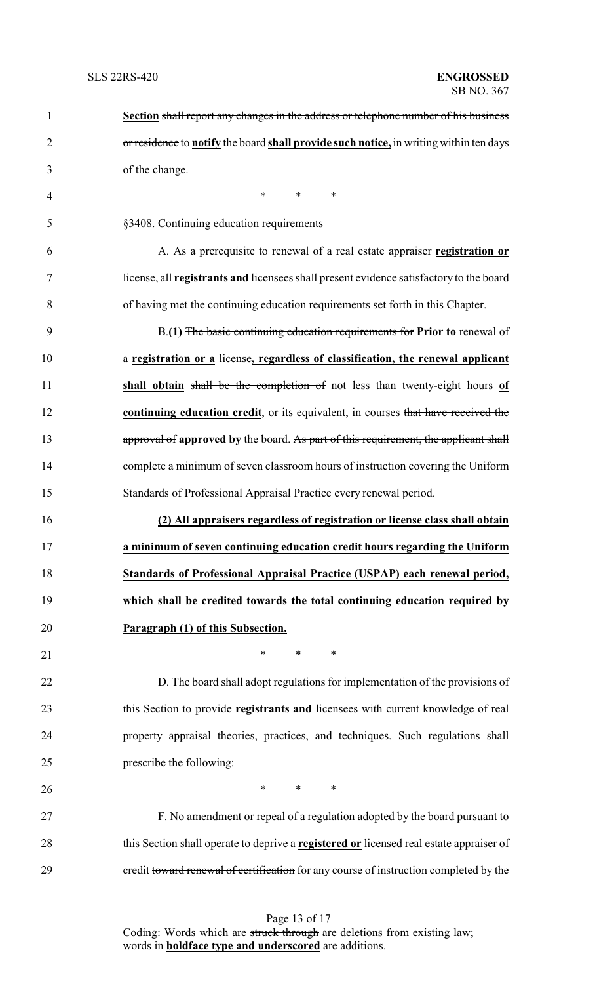| $\mathbf{1}$   | Section shall report any changes in the address or telephone number of his business            |
|----------------|------------------------------------------------------------------------------------------------|
| $\overline{2}$ | or residence to notify the board shall provide such notice, in writing within ten days         |
| 3              | of the change.                                                                                 |
| 4              | $\ast$<br>$\ast$<br>∗                                                                          |
| 5              | §3408. Continuing education requirements                                                       |
| 6              | A. As a prerequisite to renewal of a real estate appraiser registration or                     |
| 7              | license, all <b>registrants and</b> licensees shall present evidence satisfactory to the board |
| 8              | of having met the continuing education requirements set forth in this Chapter.                 |
| 9              | B.(1) The basic continuing education requirements for Prior to renewal of                      |
| 10             | a registration or a license, regardless of classification, the renewal applicant               |
| 11             | shall obtain shall be the completion of not less than twenty-eight hours of                    |
| 12             | continuing education credit, or its equivalent, in courses that have received the              |
| 13             | approval of approved by the board. As part of this requirement, the applicant shall            |
| 14             | complete a minimum of seven classroom hours of instruction covering the Uniform                |
| 15             | Standards of Professional Appraisal Practice every renewal period.                             |
| 16             | (2) All appraisers regardless of registration or license class shall obtain                    |
| 17             | a minimum of seven continuing education credit hours regarding the Uniform                     |
| 18             | Standards of Professional Appraisal Practice (USPAP) each renewal period,                      |
| 19             | which shall be credited towards the total continuing education required by                     |
| 20             | Paragraph (1) of this Subsection.                                                              |
| 21             | $\ast$<br>$\ast$<br>∗                                                                          |
| 22             | D. The board shall adopt regulations for implementation of the provisions of                   |
| 23             | this Section to provide <b>registrants and</b> licensees with current knowledge of real        |
| 24             | property appraisal theories, practices, and techniques. Such regulations shall                 |
| 25             | prescribe the following:                                                                       |
| 26             | $\ast$<br>$*$ and $*$<br>∗                                                                     |
| 27             | F. No amendment or repeal of a regulation adopted by the board pursuant to                     |
| 28             | this Section shall operate to deprive a registered or licensed real estate appraiser of        |
| 29             | credit toward renewal of certification for any course of instruction completed by the          |

Page 13 of 17 Coding: Words which are struck through are deletions from existing law; words in **boldface type and underscored** are additions.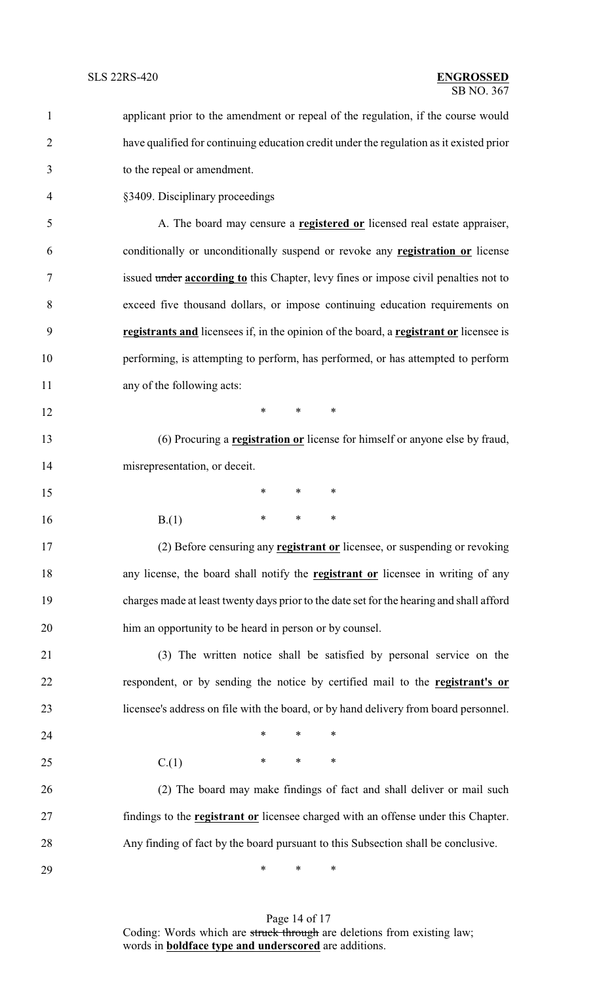| $\mathbf{1}$   | applicant prior to the amendment or repeal of the regulation, if the course would         |  |  |
|----------------|-------------------------------------------------------------------------------------------|--|--|
| $\overline{2}$ | have qualified for continuing education credit under the regulation as it existed prior   |  |  |
| 3              | to the repeal or amendment.                                                               |  |  |
| $\overline{4}$ | §3409. Disciplinary proceedings                                                           |  |  |
| 5              | A. The board may censure a <b>registered or</b> licensed real estate appraiser,           |  |  |
| 6              | conditionally or unconditionally suspend or revoke any <b>registration or</b> license     |  |  |
| 7              | issued under according to this Chapter, levy fines or impose civil penalties not to       |  |  |
| 8              | exceed five thousand dollars, or impose continuing education requirements on              |  |  |
| 9              | registrants and licensees if, in the opinion of the board, a registrant or licensee is    |  |  |
| 10             | performing, is attempting to perform, has performed, or has attempted to perform          |  |  |
| 11             | any of the following acts:                                                                |  |  |
| 12             | $\ast$<br>$\ast$<br>∗                                                                     |  |  |
| 13             | (6) Procuring a <b>registration or</b> license for himself or anyone else by fraud,       |  |  |
| 14             | misrepresentation, or deceit.                                                             |  |  |
| 15             | ∗<br>∗<br>∗                                                                               |  |  |
| 16             | $\ast$<br>∗<br>∗<br>B(1)                                                                  |  |  |
| 17             | (2) Before censuring any <b>registrant or</b> licensee, or suspending or revoking         |  |  |
| 18             | any license, the board shall notify the <b>registrant or</b> licensee in writing of any   |  |  |
| 19             | charges made at least twenty days prior to the date set for the hearing and shall afford  |  |  |
| 20             | him an opportunity to be heard in person or by counsel.                                   |  |  |
| 21             | (3) The written notice shall be satisfied by personal service on the                      |  |  |
| 22             | respondent, or by sending the notice by certified mail to the registrant's or             |  |  |
| 23             | licensee's address on file with the board, or by hand delivery from board personnel.      |  |  |
| 24             | $\ast$<br>∗<br>∗                                                                          |  |  |
| 25             | $\ast$<br>∗<br>∗<br>C(1)                                                                  |  |  |
| 26             | (2) The board may make findings of fact and shall deliver or mail such                    |  |  |
| 27             | findings to the <b>registrant or</b> licensee charged with an offense under this Chapter. |  |  |
| 28             | Any finding of fact by the board pursuant to this Subsection shall be conclusive.         |  |  |
| 29             | ∗<br>∗<br>∗                                                                               |  |  |

Page 14 of 17 Coding: Words which are struck through are deletions from existing law; words in **boldface type and underscored** are additions.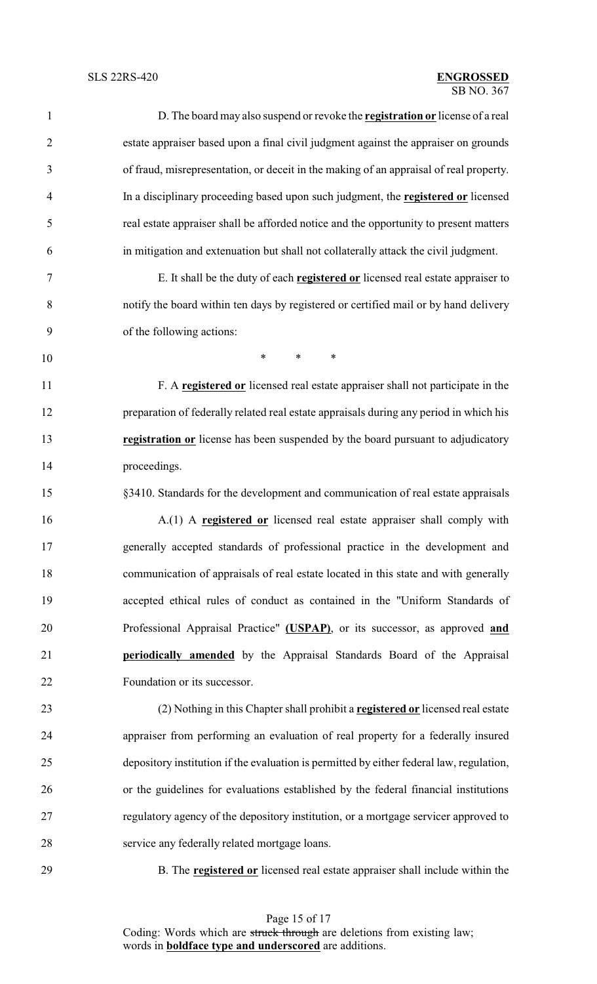#### SB NO. 367 SLS 22RS-420 **ENGROSSED**

| $\mathbf{1}$   | D. The board may also suspend or revoke the <b>registration or</b> license of a real     |
|----------------|------------------------------------------------------------------------------------------|
| $\overline{2}$ | estate appraiser based upon a final civil judgment against the appraiser on grounds      |
| 3              | of fraud, misrepresentation, or deceit in the making of an appraisal of real property.   |
| $\overline{4}$ | In a disciplinary proceeding based upon such judgment, the registered or licensed        |
| 5              | real estate appraiser shall be afforded notice and the opportunity to present matters    |
| 6              | in mitigation and extenuation but shall not collaterally attack the civil judgment.      |
| 7              | E. It shall be the duty of each registered or licensed real estate appraiser to          |
| 8              | notify the board within ten days by registered or certified mail or by hand delivery     |
| 9              | of the following actions:                                                                |
| 10             | $\ast$<br>$\ast$<br>$\ast$                                                               |
| 11             | F. A registered or licensed real estate appraiser shall not participate in the           |
| 12             | preparation of federally related real estate appraisals during any period in which his   |
| 13             | registration or license has been suspended by the board pursuant to adjudicatory         |
| 14             | proceedings.                                                                             |
| 15             | §3410. Standards for the development and communication of real estate appraisals         |
| 16             | A.(1) A registered or licensed real estate appraiser shall comply with                   |
| 17             | generally accepted standards of professional practice in the development and             |
| 18             | communication of appraisals of real estate located in this state and with generally      |
| 19             | accepted ethical rules of conduct as contained in the "Uniform Standards of              |
| 20             | Professional Appraisal Practice" (USPAP), or its successor, as approved and              |
| 21             | periodically amended by the Appraisal Standards Board of the Appraisal                   |
| 22             | Foundation or its successor.                                                             |
| 23             | (2) Nothing in this Chapter shall prohibit a registered or licensed real estate          |
| 24             | appraiser from performing an evaluation of real property for a federally insured         |
| 25             | depository institution if the evaluation is permitted by either federal law, regulation, |
| 26             | or the guidelines for evaluations established by the federal financial institutions      |
| 27             | regulatory agency of the depository institution, or a mortgage servicer approved to      |
| 28             | service any federally related mortgage loans.                                            |
| 29             | B. The <b>registered or</b> licensed real estate appraiser shall include within the      |
|                |                                                                                          |

Page 15 of 17 Coding: Words which are struck through are deletions from existing law; words in **boldface type and underscored** are additions.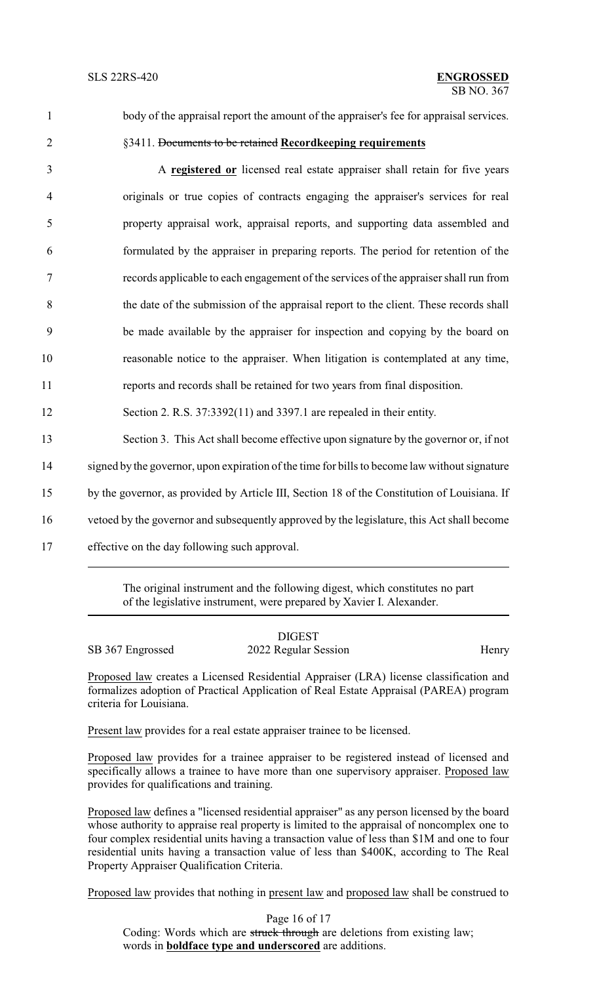#### SB NO. 367 SLS 22RS-420 **ENGROSSED**

# 1 body of the appraisal report the amount of the appraiser's fee for appraisal services.

## 2 §3411. Documents to be retained **Recordkeeping requirements**

 A **registered or** licensed real estate appraiser shall retain for five years originals or true copies of contracts engaging the appraiser's services for real property appraisal work, appraisal reports, and supporting data assembled and formulated by the appraiser in preparing reports. The period for retention of the records applicable to each engagement of the services of the appraiser shall run from the date of the submission of the appraisal report to the client. These records shall be made available by the appraiser for inspection and copying by the board on reasonable notice to the appraiser. When litigation is contemplated at any time, reports and records shall be retained for two years from final disposition. Section 2. R.S. 37:3392(11) and 3397.1 are repealed in their entity. Section 3. This Act shall become effective upon signature by the governor or, if not 14 signed by the governor, upon expiration of the time for bills to become law without signature by the governor, as provided by Article III, Section 18 of the Constitution of Louisiana. If vetoed by the governor and subsequently approved by the legislature, this Act shall become

17 effective on the day following such approval.

The original instrument and the following digest, which constitutes no part of the legislative instrument, were prepared by Xavier I. Alexander.

|                  | <b>DIGEST</b>        |       |
|------------------|----------------------|-------|
| SB 367 Engrossed | 2022 Regular Session | Henry |

Proposed law creates a Licensed Residential Appraiser (LRA) license classification and formalizes adoption of Practical Application of Real Estate Appraisal (PAREA) program criteria for Louisiana.

Present law provides for a real estate appraiser trainee to be licensed.

Proposed law provides for a trainee appraiser to be registered instead of licensed and specifically allows a trainee to have more than one supervisory appraiser. Proposed law provides for qualifications and training.

Proposed law defines a "licensed residential appraiser" as any person licensed by the board whose authority to appraise real property is limited to the appraisal of noncomplex one to four complex residential units having a transaction value of less than \$1M and one to four residential units having a transaction value of less than \$400K, according to The Real Property Appraiser Qualification Criteria.

Proposed law provides that nothing in present law and proposed law shall be construed to

Page 16 of 17 Coding: Words which are struck through are deletions from existing law; words in **boldface type and underscored** are additions.